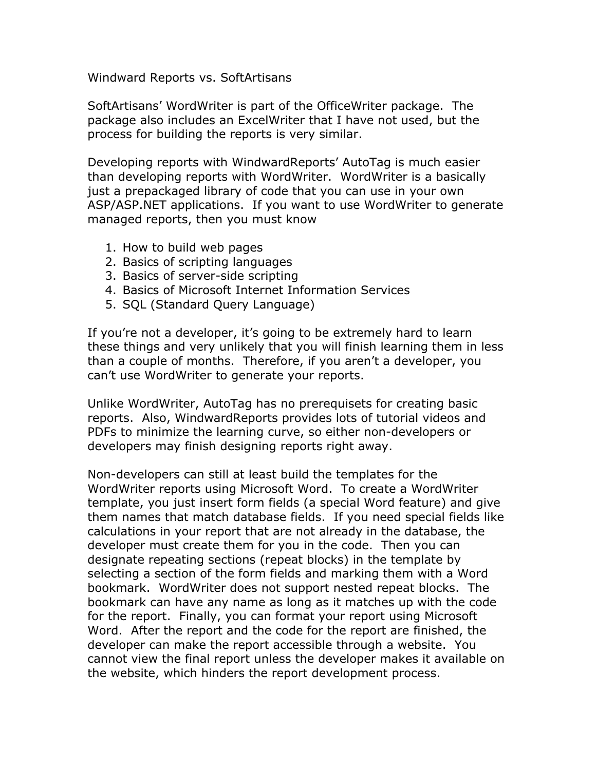Windward Reports vs. SoftArtisans

SoftArtisans' WordWriter is part of the OfficeWriter package. The package also includes an ExcelWriter that I have not used, but the process for building the reports is very similar.

Developing reports with WindwardReports' AutoTag is much easier than developing reports with WordWriter. WordWriter is a basically just a prepackaged library of code that you can use in your own ASP/ASP.NET applications. If you want to use WordWriter to generate managed reports, then you must know

- 1. How to build web pages
- 2. Basics of scripting languages
- 3. Basics of server-side scripting
- 4. Basics of Microsoft Internet Information Services
- 5. SQL (Standard Query Language)

If you're not a developer, it's going to be extremely hard to learn these things and very unlikely that you will finish learning them in less than a couple of months. Therefore, if you aren't a developer, you can't use WordWriter to generate your reports.

Unlike WordWriter, AutoTag has no prerequisets for creating basic reports. Also, WindwardReports provides lots of tutorial videos and PDFs to minimize the learning curve, so either non-developers or developers may finish designing reports right away.

Non-developers can still at least build the templates for the WordWriter reports using Microsoft Word. To create a WordWriter template, you just insert form fields (a special Word feature) and give them names that match database fields. If you need special fields like calculations in your report that are not already in the database, the developer must create them for you in the code. Then you can designate repeating sections (repeat blocks) in the template by selecting a section of the form fields and marking them with a Word bookmark. WordWriter does not support nested repeat blocks. The bookmark can have any name as long as it matches up with the code for the report. Finally, you can format your report using Microsoft Word. After the report and the code for the report are finished, the developer can make the report accessible through a website. You cannot view the final report unless the developer makes it available on the website, which hinders the report development process.